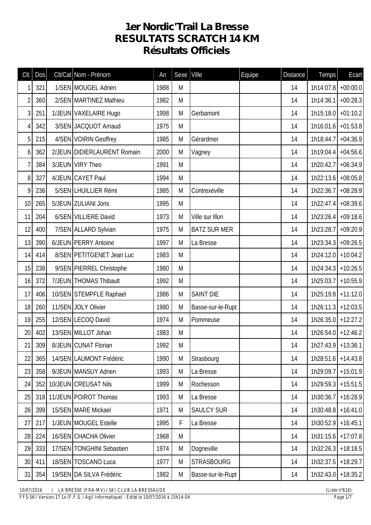## **1er Nordic'Trail La Bresse RESULTATS SCRATCH 14 KM Résultats Officiels**

| CIt.           | Dos | Clt/Cat Nom - Prénom        | An   | Sexe | Ville               | Equipe | <b>Distance</b> | <b>Temps</b>          | Ecart      |
|----------------|-----|-----------------------------|------|------|---------------------|--------|-----------------|-----------------------|------------|
| 1              | 321 | 1/SEN MOUGEL Adrien         | 1988 | M    |                     |        | 14              | $1h14:07.8$ +00:00.0  |            |
| $\overline{2}$ | 360 | 2/SEN MARTINEZ Mathieu      | 1982 | M    |                     |        | 14              | 1h14:36.1             | $+00:28.3$ |
| $\mathfrak{Z}$ | 251 | 1/JEUN VAXELAIRE Hugo       | 1998 | M    | Gerbamont           |        | 14              | $1h15:18.0$ +01:10.2  |            |
| $\overline{4}$ | 342 | 3/SEN JACQUOT Arnaud        | 1975 | M    |                     |        | 14              | $1h16:01.6$ +01:53.8  |            |
| 5              | 215 | 4/SEN VOIRIN Geoffrey       | 1985 | M    | Gérardmer           |        | 14              | $1h18:44.7$ +04:36.9  |            |
| 6              | 362 | 2/JEUN DIDIERLAURENT Romain | 2000 | M    | Vagney              |        | 14              | 1h19:04.4             | $+04:56.6$ |
| $\overline{1}$ | 384 | 3/JEUN VIRY Theo            | 1991 | M    |                     |        | 14              | $1h20:42.7$ +06:34.9  |            |
| 8              | 327 | 4/JEUN CAYET Paul           | 1994 | M    |                     |        | 14              | 1h22:13.6 +08:05.8    |            |
| 9              | 236 | 5/SEN LHUILLIER Rémi        | 1985 | M    | Contrexéville       |        | 14              | 1h22:36.7 +08:28.9    |            |
| 10             | 265 | 5/JEUN ZULIANI Joris        | 1995 | M    |                     |        | 14              | 1h22:47.4             | $+08:39.6$ |
| 11             | 204 | 6/SEN VILLIERE David        | 1973 | M    | Ville sur Illon     |        | 14              | $1h23:26.4$ +09:18.6  |            |
| 12             | 400 | 7/SEN ALLARD Sylvian        | 1975 | M    | <b>BATZ SUR MER</b> |        | 14              | $1h23:28.7$ +09:20.9  |            |
| 13             | 390 | 6/JEUN PERRY Antoine        | 1997 | M    | La Bresse           |        | 14              | $1h23:34.3$ +09:26.5  |            |
| 14             | 414 | 8/SEN PETITGENET Jean Luc   | 1983 | M    |                     |        | 14              | $1h24:12.0$ + 10:04.2 |            |
| 15             | 238 | 9/SEN PIERREL Christophe    | 1980 | M    |                     |        | 14              | $1h24:34.3$ + 10:26.5 |            |
| 16             | 372 | 7/JEUN THOMAS Thibault      | 1992 | M    |                     |        | 14              | 1h25:03.7 +10:55.9    |            |
| 17             | 406 | 10/SEN STEMPFLE Raphael     | 1986 | M    | <b>SAINT DIE</b>    |        | 14              | $1h25:19.8$ +11:12.0  |            |
| 18             | 260 | 11/SEN JOLY Olivier         | 1980 | M    | Basse-sur-le-Rupt   |        | 14              | $1h26:11.3$ +12:03.5  |            |
| 19             | 255 | 12/SEN LECOQ David          | 1974 | M    | Pommeuse            |        | 14              | $1h26:35.0$ +12:27.2  |            |
| 20             | 402 | 13/SEN MILLOT Johan         | 1983 | M    |                     |        | 14              | $1h26:54.0$ +12:46.2  |            |
| 21             | 309 | 8/JEUN CUNAT Florian        | 1992 | M    |                     |        | 14              | $1h27:43.9$ +13:36.1  |            |
| 22             | 365 | 14/SEN LAUMONT Frédéric     | 1990 | M    | Strasbourg          |        | 14              | $1h28:51.6$ +14:43.8  |            |
| 23             | 358 | 9/JEUN MANSUY Adrien        | 1993 | M    | La Bresse           |        | 14              | 1h29:09.7             | $+15:01.9$ |
| 24             | 352 | 10/JEUN CREUSAT Nils        | 1999 | M    | Rochesson           |        | 14              | $1h29:59.3$ +15:51.5  |            |
| 25             |     | 318 11/JEUN POIROT Thomas   | 1993 | M    | La Bresse           |        | 14              | 1h30:36.7 +16:28.9    |            |
| 26             | 399 | 15/SEN MARE Mickael         | 1971 | M    | <b>SAULCY SUR</b>   |        | 14              | $1h30:48.8$ +16:41.0  |            |
| 27             | 217 | 1/JEUN MOUGEL Estelle       | 1995 | F    | La Bresse           |        | 14              | $1h30:52.9$ +16:45.1  |            |
| 28             | 224 | 16/SEN CHACHA Olivier       | 1968 | M    |                     |        | 14              | $1h31:15.6$ +17:07.8  |            |
| 29             | 333 | 17/SEN TONGHINI Sebastien   | 1974 | M    | Dogneville          |        | 14              | $1h32:26.3$ +18:18.5  |            |
| 30             | 411 | 18/SEN TOSCANO Luca         | 1977 | M    | <b>STRASBOURG</b>   |        | 14              | 1h32:37.5 +18:29.7    |            |
| 31             | 354 | 19/SEN DA SILVA Frédéric    | 1982 | M    | Basse-sur-le-Rupt   |        | 14              | $1h32:43.0$ + 18:35.2 |            |

*10/07/2016 / LA BRESSE (FRA-MV) / SKI CLUB LA BRESSAUDE (Liste n°616)*

*FFS-SKI Version 17.1x (F.F.S. / Agil Informatique) - Edité le 10/07/2016 à 15h14:04 Page 1/7*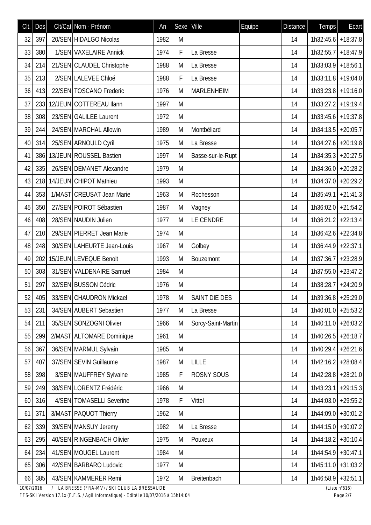| Clt.       | DOS | Clt/Cat Nom - Prénom                         | An   | Sexe | Ville              | Equipe | <b>Distance</b> | Temps                 | Ecart            |
|------------|-----|----------------------------------------------|------|------|--------------------|--------|-----------------|-----------------------|------------------|
| 32         | 397 | 20/SEN HIDALGO Nicolas                       | 1982 | M    |                    |        | 14              | $1h32:45.6$ + 18:37.8 |                  |
| 33         | 380 | 1/SEN VAXELAIRE Annick                       | 1974 | F    | La Bresse          |        | 14              | 1h32:55.7             | $+18:47.9$       |
| 34         | 214 | 21/SEN CLAUDEL Christophe                    | 1988 | M    | La Bresse          |        | 14              | $1h33:03.9$ + 18:56.1 |                  |
| 35         | 213 | 2/SEN LALEVEE Chloé                          | 1988 | F    | La Bresse          |        | 14              | $1h33:11.8$ + 19:04.0 |                  |
| 36         | 413 | 22/SEN TOSCANO Frederic                      | 1976 | M    | <b>MARLENHEIM</b>  |        | 14              | $1h33:23.8$ +19:16.0  |                  |
| 37         | 233 | 12/JEUN COTTEREAU Ilann                      | 1997 | M    |                    |        | 14              | $1h33:27.2$ + 19:19.4 |                  |
| 38         | 308 | 23/SEN GALILEE Laurent                       | 1972 | M    |                    |        | 14              | $1h33:45.6$ +19:37.8  |                  |
| 39         | 244 | 24/SEN MARCHAL Allowin                       | 1989 | M    | Montbéliard        |        | 14              | $1h34:13.5$ +20:05.7  |                  |
| 40         | 314 | 25/SEN ARNOULD Cyril                         | 1975 | M    | La Bresse          |        | 14              | $1h34:27.6$ +20:19.8  |                  |
| 41         |     | 386 13/JEUN ROUSSEL Bastien                  | 1997 | M    | Basse-sur-le-Rupt  |        | 14              | $1h34:35.3 + 20:27.5$ |                  |
| 42         | 335 | 26/SEN DEMANET Alexandre                     | 1979 | M    |                    |        | 14              | $1h34:36.0$ +20:28.2  |                  |
| 43         |     | 218 14/JEUN CHIPOT Mathieu                   | 1993 | M    |                    |        | 14              | 1h34:37.0 +20:29.2    |                  |
| 44         | 353 | 1/MAST CREUSAT Jean Marie                    | 1963 | M    | Rochesson          |        | 14              | $1h35:49.1$ +21:41.3  |                  |
| 45         | 350 | 27/SEN POIROT Sébastien                      | 1987 | M    | Vagney             |        | 14              | $1h36:02.0$ +21:54.2  |                  |
| 46         | 408 | 28/SEN NAUDIN Julien                         | 1977 | M    | LE CENDRE          |        | 14              | $1h36:21.2$ +22:13.4  |                  |
| 47         | 210 | 29/SEN PIERRET Jean Marie                    | 1974 | M    |                    |        | 14              | 1h36:42.6 +22:34.8    |                  |
| 48         | 248 | 30/SEN LAHEURTE Jean-Louis                   | 1967 | M    | Golbey             |        | 14              | $1h36:44.9$ +22:37.1  |                  |
| 49         | 202 | 15/JEUN LEVEQUE Benoit                       | 1993 | M    | Bouzemont          |        | 14              | $1h37:36.7$ +23:28.9  |                  |
| 50         | 303 | 31/SEN VALDENAIRE Samuel                     | 1984 | M    |                    |        | 14              | 1h37:55.0 +23:47.2    |                  |
| 51         | 297 | 32/SEN BUSSON Cédric                         | 1976 | M    |                    |        | 14              | 1h38:28.7 + 24:20.9   |                  |
| 52         | 405 | 33/SEN CHAUDRON Mickael                      | 1978 | M    | SAINT DIE DES      |        | 14              | $1h39:36.8$ +25:29.0  |                  |
| 53         | 231 | 34/SEN AUBERT Sebastien                      | 1977 | M    | La Bresse          |        | 14              | $1h40:01.0$ +25:53.2  |                  |
| 54         | 211 | 35/SEN SONZOGNI Olivier                      | 1966 | M    | Sorcy-Saint-Martin |        | 14              | $1h40:11.0$ +26:03.2  |                  |
| 55         | 299 | 2/MAST ALTOMARE Dominique                    | 1961 | M    |                    |        | 14              | $1h40:26.5$ +26:18.7  |                  |
| 56         | 367 | 36/SEN MARMUL Sylvain                        | 1985 | M    |                    |        | 14              | $1h40:29.4$ +26:21.6  |                  |
| 57         | 407 | 37/SEN SEVIN Guillaume                       | 1987 | M    | <b>LILLE</b>       |        | 14              | $1h42:16.2$ +28:08.4  |                  |
| 58         | 398 | 3/SEN MAUFFREY Sylvaine                      | 1985 | F    | <b>ROSNY SOUS</b>  |        | 14              | $1h42:28.8$ +28:21.0  |                  |
| 59         | 249 | 38/SEN LORENTZ Frédéric                      | 1966 | M    |                    |        | 14              | 1h43:23.1 +29:15.3    |                  |
| 60         | 316 | 4/SEN TOMASELLI Severine                     | 1978 | F    | Vittel             |        | 14              | 1h44:03.0 +29:55.2    |                  |
| 61         | 371 | 3/MAST PAQUOT Thierry                        | 1962 | M    |                    |        | 14              | $1h44:09.0$ + 30:01.2 |                  |
| 62         | 339 | 39/SEN MANSUY Jeremy                         | 1982 | M    | La Bresse          |        | 14              | $1h44:15.0$ + 30:07.2 |                  |
| 63         | 295 | 40/SEN RINGENBACH Olivier                    | 1975 | M    | Pouxeux            |        | 14              | $1h44:18.2$ + 30:10.4 |                  |
| 64         | 234 | 41/SEN MOUGEL Laurent                        | 1984 | M    |                    |        | 14              | $1h44:54.9$ + 30:47.1 |                  |
| 65         | 306 | 42/SEN BARBARO Ludovic                       | 1977 | M    |                    |        | 14              | 1h45:11.0 +31:03.2    |                  |
| 66         | 385 | 43/SEN KAMMERER Remi                         | 1972 | M    | Breitenbach        |        | 14              | 1h46:58.9 +32:51.1    |                  |
| 10/07/2016 |     | / LA BRESSE (FRA-MV) / SKI CLUB LA BRESSAUDE |      |      |                    |        |                 |                       | (Liste $n°616$ ) |

*FFS-SKI Version 17.1x (F.F.S. / Agil Informatique) - Edité le 10/07/2016 à 15h14:04 Page 2/7*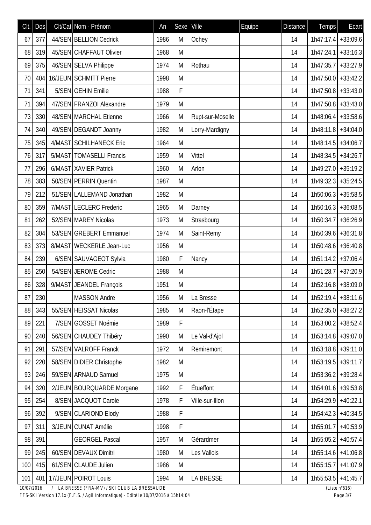| Clt.       | Dos | Clt/Cat Nom - Prénom                         | An   | Sexe | Ville            | Equipe | <b>Distance</b> | <b>Temps</b>          | Ecart                   |
|------------|-----|----------------------------------------------|------|------|------------------|--------|-----------------|-----------------------|-------------------------|
| 67         | 377 | 44/SEN BELLION Cedrick                       | 1986 | M    | Ochey            |        | 14              | $1h47:17.4$ + 33:09.6 |                         |
| 68         | 319 | 45/SEN CHAFFAUT Olivier                      | 1968 | M    |                  |        | 14              | 1h47:24.1             | $+33:16.3$              |
| 69         | 375 | 46/SEN SELVA Philippe                        | 1974 | M    | Rothau           |        | 14              | 1h47:35.7             | $+33:27.9$              |
| 70         | 404 | 16/JEUN SCHMITT Pierre                       | 1998 | M    |                  |        | 14              | $1h47:50.0$ + 33:42.2 |                         |
| 71         | 341 | 5/SEN GEHIN Emilie                           | 1988 | F    |                  |        | 14              | $1h47:50.8$ +33:43.0  |                         |
| 71         | 394 | 47/SEN FRANZOI Alexandre                     | 1979 | M    |                  |        | 14              | 1h47:50.8             | $+33:43.0$              |
| 73         | 330 | 48/SEN MARCHAL Etienne                       | 1966 | M    | Rupt-sur-Moselle |        | 14              | $1h48:06.4$ + 33:58.6 |                         |
| 74         | 340 | 49/SEN DEGANDT Joanny                        | 1982 | M    | Lorry-Mardigny   |        | 14              | $1h48:11.8$ + 34:04.0 |                         |
| 75         | 345 | 4/MAST SCHILHANECK Eric                      | 1964 | M    |                  |        | 14              | $1h48:14.5$ + 34:06.7 |                         |
| 76         | 317 | 5/MAST   TOMASELLI Francis                   | 1959 | M    | Vittel           |        | 14              | $1h48:34.5$ + 34:26.7 |                         |
| 77         | 296 | 6/MAST XAVIER Patrick                        | 1960 | M    | Arlon            |        | 14              | $1h49:27.0$ + 35:19.2 |                         |
| 78         | 383 | 50/SEN PERRIN Quentin                        | 1987 | M    |                  |        | 14              | $1h49:32.3$ + 35:24.5 |                         |
| 79         | 212 | 51/SEN LALLEMAND Jonathan                    | 1982 | M    |                  |        | 14              | 1h50:06.3             | $+35:58.5$              |
| 80         | 359 | 7/MAST LECLERC Frederic                      | 1965 | M    | Darney           |        | 14              | $1h50:16.3$ + 36:08.5 |                         |
| 81         | 262 | 52/SEN MAREY Nicolas                         | 1973 | M    | Strasbourg       |        | 14              | 1h50:34.7             | $+36:26.9$              |
| 82         | 304 | 53/SEN GREBERT Emmanuel                      | 1974 | M    | Saint-Remy       |        | 14              | $1h50:39.6$ + 36:31.8 |                         |
| 83         | 373 | 8/MAST WECKERLE Jean-Luc                     | 1956 | M    |                  |        | 14              | 1h50:48.6             | $+36:40.8$              |
| 84         | 239 | 6/SEN SAUVAGEOT Sylvia                       | 1980 | F    | Nancy            |        | 14              | $1h51:14.2$ + 37:06.4 |                         |
| 85         | 250 | 54/SEN JEROME Cedric                         | 1988 | M    |                  |        | 14              | $1h51:28.7$ +37:20.9  |                         |
| 86         | 328 | 9/MAST JEANDEL François                      | 1951 | M    |                  |        | 14              | $1h52:16.8$ + 38:09.0 |                         |
| 87         | 230 | <b>MASSON Andre</b>                          | 1956 | M    | La Bresse        |        | 14              | $1h52:19.4$ +38:11.6  |                         |
| 88         | 343 | 55/SEN HEISSAT Nicolas                       | 1985 | M    | Raon-l'Étape     |        | 14              | 1h52:35.0             | $+38:27.2$              |
| 89         | 221 | 7/SEN GOSSET Noémie                          | 1989 | F    |                  |        | 14              | $1h53:00.2$ +38:52.4  |                         |
| 90         | 240 | 56/SEN CHAUDEY Thibéry                       | 1990 | M    | Le Val-d'Ajol    |        | 14              | $1h53:14.8$ + 39:07.0 |                         |
| 91         | 291 | 57/SEN VALROFF Franck                        | 1972 | M    | Remiremont       |        | 14              | $1h53:18.8$ + 39:11.0 |                         |
| 92         | 220 | 58/SEN DIDIER Christophe                     | 1982 | M    |                  |        | 14              | 1h53:19.5             | $+39:11.7$              |
| 93         | 246 | 59/SEN ARNAUD Samuel                         | 1975 | M    |                  |        | 14              | $1h53:36.2$ + 39:28.4 |                         |
| 94         | 320 | 2/JEUN BOURQUARDE Morgane                    | 1992 | F    | Étueffont        |        | 14              | $1h54:01.6$ +39:53.8  |                         |
| 95         | 254 | 8/SEN JACQUOT Carole                         | 1978 | F    | Ville-sur-Illon  |        | 14              | 1h54:29.9             | $+40:22.1$              |
| 96         | 392 | 9/SEN CLARIOND Elody                         | 1988 | F    |                  |        | 14              | 1h54:42.3             | $+40:34.5$              |
| 97         | 311 | 3/JEUN CUNAT Amélie                          | 1998 | F    |                  |        | 14              | 1h55:01.7             | $+40:53.9$              |
| 98         | 391 | <b>GEORGEL Pascal</b>                        | 1957 | M    | Gérardmer        |        | 14              | $1h55:05.2$ +40:57.4  |                         |
| 99         | 245 | 60/SEN DEVAUX Dimitri                        | 1980 | M    | Les Vallois      |        | 14              | 1h55:14.6             | $+41:06.8$              |
| 100        | 415 | 61/SEN CLAUDE Julien                         | 1986 | M    |                  |        | 14              | 1h55:15.7             | $+41:07.9$              |
| 101        | 401 | 17/JEUN POIROT Louis                         | 1994 | M    | <b>LA BRESSE</b> |        | 14              | $1h55:53.5$ +41:45.7  |                         |
| 10/07/2016 |     | / LA BRESSE (FRA-MV) / SKI CLUB LA BRESSAUDE |      |      |                  |        |                 |                       | (Liste $n^{\circ}616$ ) |

*FFS-SKI Version 17.1x (F.F.S. / Agil Informatique) - Edité le 10/07/2016 à 15h14:04 Page 3/7*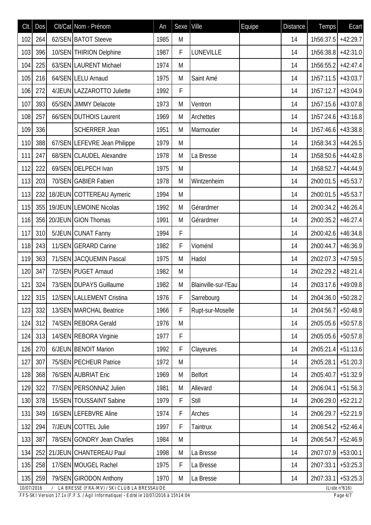| CIt.       | Dos | Clt/Cat Nom - Prénom                         | An   | Sexe | Ville                | Equipe | <b>Distance</b> | Temps                | Ecart            |
|------------|-----|----------------------------------------------|------|------|----------------------|--------|-----------------|----------------------|------------------|
| 102        | 264 | 62/SEN BATOT Steeve                          | 1985 | M    |                      |        | 14              | 1h56:37.5            | $+42:29.7$       |
| 103        | 396 | 10/SEN THIRION Delphine                      | 1987 | F    | LUNEVILLE            |        | 14              | 1h56:38.8            | $+42:31.0$       |
| 104        | 225 | 63/SEN LAURENT Michael                       | 1974 | M    |                      |        | 14              | 1h56:55.2            | $+42:47.4$       |
| 105        | 216 | 64/SEN LELU Arnaud                           | 1975 | M    | Saint Amé            |        | 14              | $1h57:11.5$ +43:03.7 |                  |
| 106        | 272 | 4/JEUN LAZZAROTTO Juliette                   | 1992 | F    |                      |        | 14              | $1h57:12.7$ +43:04.9 |                  |
| 107        | 393 | 65/SEN JIMMY Delacote                        | 1973 | M    | Ventron              |        | 14              | 1h57:15.6            | $+43:07.8$       |
| 108        | 257 | 66/SEN DUTHOIS Laurent                       | 1969 | M    | Archettes            |        | 14              | $1h57:24.6$ +43:16.8 |                  |
| 109        | 336 | <b>SCHERRER Jean</b>                         | 1951 | M    | Marmoutier           |        | 14              | $1h57:46.6$ +43:38.8 |                  |
| 110        | 388 | 67/SEN LEFEVRE Jean Philippe                 | 1979 | M    |                      |        | 14              | $1h58:34.3$ +44:26.5 |                  |
| 111        | 247 | 68/SEN CLAUDEL Alexandre                     | 1978 | M    | La Bresse            |        | 14              | $1h58:50.6$ +44:42.8 |                  |
| 112        | 222 | 69/SEN DELPECH Ivan                          | 1975 | M    |                      |        | 14              | 1h58:52.7            | $+44:44.9$       |
| 113        | 203 | 70/SEN GABIER Fabien                         | 1978 | M    | Wintzenheim          |        | 14              | $2h00:01.5$ +45:53.7 |                  |
| 113        | 232 | 18/JEUN COTTEREAU Aymeric                    | 1994 | M    |                      |        | 14              | 2h00:01.5            | $+45:53.7$       |
| 115        |     | 355 19/JEUN LEMOINE Nicolas                  | 1992 | M    | Gérardmer            |        | 14              | 2h00:34.2            | $+46:26.4$       |
| 116        |     | 356 20/JEUN GION Thomas                      | 1991 | M    | Gérardmer            |        | 14              | $2h00:35.2$ +46:27.4 |                  |
| 117        | 310 | 5/JEUN CUNAT Fanny                           | 1994 | F    |                      |        | 14              | $2h00:42.6$ +46:34.8 |                  |
| 118        | 243 | 11/SEN GERARD Carine                         | 1982 | F    | Vioménil             |        | 14              | 2h00:44.7            | $+46:36.9$       |
| 119        | 363 | 71/SEN JACQUEMIN Pascal                      | 1975 | M    | Hadol                |        | 14              | 2h02:07.3 +47:59.5   |                  |
| 120        | 347 | 72/SEN PUGET Arnaud                          | 1982 | M    |                      |        | 14              | 2h02:29.2 +48:21.4   |                  |
| 121        | 324 | 73/SEN DUPAYS Guillaume                      | 1982 | M    | Blainville-sur-l'Eau |        | 14              | 2h03:17.6 +49:09.8   |                  |
|            |     | 122 315 12/SEN LALLEMENT Cristina            | 1976 | F    | Sarrebourg           |        | 14              | $2h04:36.0$ +50:28.2 |                  |
| 123        | 332 | 13/SEN MARCHAL Beatrice                      | 1966 | F    | Rupt-sur-Moselle     |        | 14              | 2h04:56.7            | $+50:48.9$       |
| 124        | 312 | 74/SEN REBORA Gerald                         | 1976 | M    |                      |        | 14              | 2h05:05.6 +50:57.8   |                  |
| 124        | 313 | 14/SEN REBORA Virginie                       | 1977 | F    |                      |        | 14              | $2h05:05.6$ +50:57.8 |                  |
| 126        | 270 | 6/JEUN BENOIT Marion                         | 1992 | F    | Clayeures            |        | 14              | $2h05:21.4$ +51:13.6 |                  |
| 127        | 307 | 75/SEN PECHEUR Patrice                       | 1972 | M    |                      |        | 14              | 2h05:28.1            | $+51:20.3$       |
| 128        | 368 | 76/SEN AUBRIAT Eric                          | 1969 | M    | Belfort              |        | 14              | 2h05:40.7 +51:32.9   |                  |
| 129        | 322 | 77/SEN PERSONNAZ Julien                      | 1981 | M    | Allevard             |        | 14              | 2h06:04.1            | $+51:56.3$       |
| 130        | 378 | 15/SEN TOUSSAINT Sabine                      | 1979 | F    | Still                |        | 14              | 2h06:29.0            | $+52:21.2$       |
| 131        | 349 | 16/SEN LEFEBVRE Aline                        | 1974 | F    | Arches               |        | 14              | 2h06:29.7            | $+52:21.9$       |
| 132        | 294 | 7/JEUN COTTEL Julie                          | 1997 | F    | Taintrux             |        | 14              | $2h06:54.2$ +52:46.4 |                  |
| 133        | 387 | 78/SEN GONDRY Jean Charles                   | 1984 | M    |                      |        | 14              | 2h06:54.7 +52:46.9   |                  |
| 134        | 252 | 21/JEUN CHANTEREAU Paul                      | 1998 | M    | La Bresse            |        | 14              | 2h07:07.9            | $+53:00.1$       |
| 135        | 258 | 17/SEN MOUGEL Rachel                         | 1975 | F    | La Bresse            |        | 14              | 2h07:33.1            | $+53:25.3$       |
| 135        | 259 | 79/SEN GIRODON Anthony                       | 1970 | M    | La Bresse            |        | 14              | $2h07:33.1$ +53:25.3 |                  |
| 10/07/2016 |     | / LA BRESSE (FRA-MV) / SKI CLUB LA BRESSAUDE |      |      |                      |        |                 |                      | (Liste $n°616$ ) |

*FFS-SKI Version 17.1x (F.F.S. / Agil Informatique) - Edité le 10/07/2016 à 15h14:04 Page 4/7*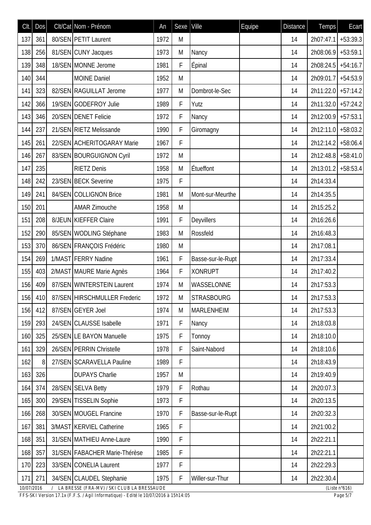| Clt.       | Dos | Clt/Cat Nom - Prénom                       | An   | Sexe | Ville             | Equipe | <b>Distance</b> | Temps                | Ecart                   |
|------------|-----|--------------------------------------------|------|------|-------------------|--------|-----------------|----------------------|-------------------------|
| 137        | 361 | 80/SEN PETIT Laurent                       | 1972 | M    |                   |        | 14              | 2h07:47.1            | $+53:39.3$              |
| 138        | 256 | 81/SEN CUNY Jacques                        | 1973 | M    | Nancy             |        | 14              | 2h08:06.9            | $+53:59.1$              |
| 139        | 348 | 18/SEN MONNE Jerome                        | 1981 | F    | Épinal            |        | 14              | $2h08:24.5$ +54:16.7 |                         |
| 140        | 344 | <b>MOINE Daniel</b>                        | 1952 | M    |                   |        | 14              | 2h09:01.7            | $+54:53.9$              |
| 141        | 323 | 82/SEN RAGUILLAT Jerome                    | 1977 | M    | Dombrot-le-Sec    |        | 14              | 2h11:22.0 +57:14.2   |                         |
| 142        | 366 | 19/SEN GODEFROY Julie                      | 1989 | F    | Yutz              |        | 14              | 2h11:32.0 +57:24.2   |                         |
| 143        | 346 | 20/SEN DENET Felicie                       | 1972 | F    | Nancy             |        | 14              | $2h12:00.9$ +57:53.1 |                         |
| 144        | 237 | 21/SEN RIETZ Melissande                    | 1990 | F    | Giromagny         |        | 14              | 2h12:11.0 +58:03.2   |                         |
| 145        | 261 | 22/SEN ACHERITOGARAY Marie                 | 1967 | F    |                   |        | 14              | $2h12:14.2$ +58:06.4 |                         |
| 146        | 267 | 83/SEN BOURGUIGNON Cyril                   | 1972 | M    |                   |        | 14              | 2h12:48.8 +58:41.0   |                         |
| 147        | 235 | <b>RIETZ Denis</b>                         | 1958 | M    | Étueffont         |        | 14              | $2h13:01.2$ +58:53.4 |                         |
| 148        | 242 | 23/SEN BECK Severine                       | 1975 | F    |                   |        | 14              | 2h14:33.4            |                         |
| 149        | 241 | 84/SEN COLLIGNON Brice                     | 1981 | M    | Mont-sur-Meurthe  |        | 14              | 2h14:35.5            |                         |
| 150        | 201 | <b>AMAR Zimouche</b>                       | 1958 | M    |                   |        | 14              | 2h15:25.2            |                         |
| 151        | 208 | 8/JEUN KIEFFER Claire                      | 1991 | F    | Deyvillers        |        | 14              | 2h16:26.6            |                         |
| 152        | 290 | 85/SEN WODLING Stéphane                    | 1983 | M    | Rossfeld          |        | 14              | 2h16:48.3            |                         |
| 153        | 370 | 86/SEN FRANÇOIS Frédéric                   | 1980 | M    |                   |        | 14              | 2h17:08.1            |                         |
| 154        | 269 | 1/MAST FERRY Nadine                        | 1961 | F    | Basse-sur-le-Rupt |        | 14              | 2h17:33.4            |                         |
| 155        | 403 | 2/MAST MAURE Marie Agnès                   | 1964 | F    | <b>XONRUPT</b>    |        | 14              | 2h17:40.2            |                         |
| 156        | 409 | 87/SEN WINTERSTEIN Laurent                 | 1974 | M    | WASSELONNE        |        | 14              | 2h17:53.3            |                         |
| 156        | 410 | 87/SEN HIRSCHMULLER Frederic               | 1972 | M    | <b>STRASBOURG</b> |        | 14              | 2h17:53.3            |                         |
| 156        | 412 | 87/SEN GEYER Joel                          | 1974 | M    | <b>MARLENHEIM</b> |        | 14              | 2h17:53.3            |                         |
| 159        | 293 | 24/SEN CLAUSSE Isabelle                    | 1971 | F    | Nancy             |        | 14              | 2h18:03.8            |                         |
| 160        | 325 | 25/SEN LE BAYON Manuelle                   | 1975 | F    | Tonnoy            |        | 14              | 2h18:10.0            |                         |
| 161        | 329 | 26/SEN PERRIN Christelle                   | 1978 | F    | Saint-Nabord      |        | 14              | 2h18:10.6            |                         |
| 162        | 8   | 27/SEN SCARAVELLA Pauline                  | 1989 | F    |                   |        | 14              | 2h18:43.9            |                         |
| 163        | 326 | <b>DUPAYS Charlie</b>                      | 1957 | M    |                   |        | 14              | 2h19:40.9            |                         |
| 164        | 374 | 28/SEN SELVA Betty                         | 1979 | F    | Rothau            |        | 14              | 2h20:07.3            |                         |
| 165        | 300 | 29/SEN TISSELIN Sophie                     | 1973 | F    |                   |        | 14              | 2h20:13.5            |                         |
| 166        | 268 | 30/SEN MOUGEL Francine                     | 1970 | F    | Basse-sur-le-Rupt |        | 14              | 2h20:32.3            |                         |
| 167        | 381 | 3/MAST KERVIEL Catherine                   | 1965 | F    |                   |        | 14              | 2h21:00.2            |                         |
| 168        | 351 | 31/SEN MATHIEU Anne-Laure                  | 1990 | F    |                   |        | 14              | 2h22:21.1            |                         |
| 168        | 357 | 31/SEN FABACHER Marie-Thérèse              | 1985 | F    |                   |        | 14              | 2h22:21.1            |                         |
| 170        | 223 | 33/SEN CONELIA Laurent                     | 1977 | F    |                   |        | 14              | 2h22:29.3            |                         |
| 171        | 271 | 34/SEN CLAUDEL Stephanie                   | 1975 | F    | Willer-sur-Thur   |        | 14              | 2h22:30.4            |                         |
| 10/07/2016 |     | LA BRESSE (FRA-MV) / SKI CLUB LA BRESSAUDE |      |      |                   |        |                 |                      | (Liste $n^{\circ}616$ ) |

*FFS-SKI Version 17.1x (F.F.S. / Agil Informatique) - Edité le 10/07/2016 à 15h14:05 Page 5/7*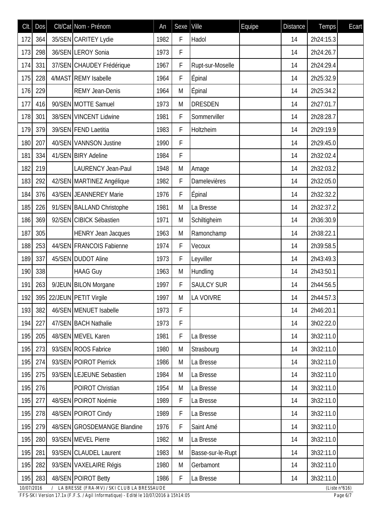| Clt.       | DOS | Clt/Cat Nom - Prénom                         | An   | Sexe | Ville             | Equipe | <b>Distance</b> | <b>Temps</b> | Ecart                   |
|------------|-----|----------------------------------------------|------|------|-------------------|--------|-----------------|--------------|-------------------------|
| 172        | 364 | 35/SEN CARITEY Lydie                         | 1982 | F    | Hadol             |        | 14              | 2h24:15.3    |                         |
| 173        | 298 | 36/SEN LEROY Sonia                           | 1973 | F    |                   |        | 14              | 2h24:26.7    |                         |
| 174        | 331 | 37/SEN CHAUDEY Frédérique                    | 1967 | F    | Rupt-sur-Moselle  |        | 14              | 2h24:29.4    |                         |
| 175        | 228 | 4/MAST REMY Isabelle                         | 1964 | F    | Épinal            |        | 14              | 2h25:32.9    |                         |
| 176        | 229 | <b>REMY Jean-Denis</b>                       | 1964 | M    | <b>Épinal</b>     |        | 14              | 2h25:34.2    |                         |
| 177        | 416 | 90/SEN MOTTE Samuel                          | 1973 | M    | <b>DRESDEN</b>    |        | 14              | 2h27:01.7    |                         |
| 178        | 301 | 38/SEN VINCENT Lidwine                       | 1981 | F    | Sommerviller      |        | 14              | 2h28:28.7    |                         |
| 179        | 379 | 39/SEN FEND Laetitia                         | 1983 | F    | Holtzheim         |        | 14              | 2h29:19.9    |                         |
| 180        | 207 | 40/SEN VANNSON Justine                       | 1990 | F    |                   |        | 14              | 2h29:45.0    |                         |
| 181        | 334 | 41/SEN BIRY Adeline                          | 1984 | F    |                   |        | 14              | 2h32:02.4    |                         |
| 182        | 219 | <b>LAURENCY Jean-Paul</b>                    | 1948 | M    | Amage             |        | 14              | 2h32:03.2    |                         |
| 183        | 292 | 42/SEN MARTINEZ Angélique                    | 1982 | F    | Damelevières      |        | 14              | 2h32:05.0    |                         |
| 184        | 376 | 43/SEN JEANNEREY Marie                       | 1976 | F    | <b>Épinal</b>     |        | 14              | 2h32:32.2    |                         |
| 185        | 226 | 91/SEN BALLAND Christophe                    | 1981 | M    | La Bresse         |        | 14              | 2h32:37.2    |                         |
| 186        | 369 | 92/SEN CIBICK Sébastien                      | 1971 | M    | Schiltigheim      |        | 14              | 2h36:30.9    |                         |
| 187        | 305 | <b>HENRY Jean Jacques</b>                    | 1963 | M    | Ramonchamp        |        | 14              | 2h38:22.1    |                         |
| 188        | 253 | 44/SEN FRANCOIS Fabienne                     | 1974 | F    | Vecoux            |        | 14              | 2h39:58.5    |                         |
| 189        | 337 | 45/SEN DUDOT Aline                           | 1973 | F    | Leyviller         |        | 14              | 2h43:49.3    |                         |
| 190        | 338 | <b>HAAG Guy</b>                              | 1963 | M    | Hundling          |        | 14              | 2h43:50.1    |                         |
| 191        | 263 | 9/JEUN BILON Morgane                         | 1997 | F    | <b>SAULCY SUR</b> |        | 14              | 2h44:56.5    |                         |
| 192        |     | 395 22/JEUN PETIT Virgile                    | 1997 | M    | LA VOIVRE         |        | 14              | 2h44:57.3    |                         |
| 193        | 382 | 46/SEN MENUET Isabelle                       | 1973 | F    |                   |        | 14              | 2h46:20.1    |                         |
| 194        | 227 | 47/SEN BACH Nathalie                         | 1973 | F    |                   |        | 14              | 3h02:22.0    |                         |
| 195        | 205 | 48/SEN MEVEL Karen                           | 1981 | F    | La Bresse         |        | 14              | 3h32:11.0    |                         |
| 195        | 273 | 93/SEN ROOS Fabrice                          | 1980 | M    | Strasbourg        |        | 14              | 3h32:11.0    |                         |
| 195        | 274 | 93/SEN POIROT Pierrick                       | 1986 | M    | La Bresse         |        | 14              | 3h32:11.0    |                         |
| 195        | 275 | 93/SEN LEJEUNE Sebastien                     | 1984 | M    | La Bresse         |        | 14              | 3h32:11.0    |                         |
| 195        | 276 | <b>POIROT Christian</b>                      | 1954 | M    | La Bresse         |        | 14              | 3h32:11.0    |                         |
| 195        | 277 | 48/SEN POIROT Noémie                         | 1989 | F    | La Bresse         |        | 14              | 3h32:11.0    |                         |
| 195        | 278 | 48/SEN POIROT Cindy                          | 1989 | F    | La Bresse         |        | 14              | 3h32:11.0    |                         |
| 195        | 279 | 48/SEN GROSDEMANGE Blandine                  | 1976 | F    | Saint Amé         |        | 14              | 3h32:11.0    |                         |
| 195        | 280 | 93/SEN MEVEL Pierre                          | 1982 | M    | La Bresse         |        | 14              | 3h32:11.0    |                         |
| 195        | 281 | 93/SEN CLAUDEL Laurent                       | 1983 | M    | Basse-sur-le-Rupt |        | 14              | 3h32:11.0    |                         |
| 195        | 282 | 93/SEN VAXELAIRE Régis                       | 1980 | M    | Gerbamont         |        | 14              | 3h32:11.0    |                         |
| 195        | 283 | 48/SEN POIROT Betty                          | 1986 | F    | La Bresse         |        | 14              | 3h32:11.0    |                         |
| 10/07/2016 |     | / LA BRESSE (FRA-MV) / SKI CLUB LA BRESSAUDE |      |      |                   |        |                 |              | (Liste $n^{\circ}616$ ) |

*FFS-SKI Version 17.1x (F.F.S. / Agil Informatique) - Edité le 10/07/2016 à 15h14:05 Page 6/7*